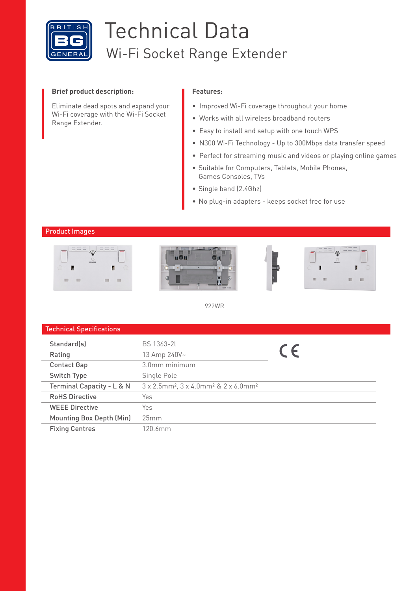

# Technical Data Wi-Fi Socket Range Extender

## **Brief product description:**

Eliminate dead spots and expand your Wi-Fi coverage with the Wi-Fi Socket Range Extender.

## **Features:**

- Improved Wi-Fi coverage throughout your home
- Works with all wireless broadband routers
- Easy to install and setup with one touch WPS
- N300 Wi-Fi Technology Up to 300Mbps data transfer speed
- Perfect for streaming music and videos or playing online games
- Suitable for Computers, Tablets, Mobile Phones, Games Consoles, TVs
- Single band (2.4Ghz)
- No plug-in adapters keeps socket free for use

## Product Images



922WR

| <b>Technical Specifications</b> |                                                                          |            |
|---------------------------------|--------------------------------------------------------------------------|------------|
| Standard(s)                     | <b>BS 1363-2L</b>                                                        |            |
| Rating                          | 13 Amp 240V~                                                             | $\epsilon$ |
| <b>Contact Gap</b>              | 3.0mm minimum                                                            |            |
| Switch Type                     | Single Pole                                                              |            |
| Terminal Capacity - L & N       | 3 x 2.5mm <sup>2</sup> , 3 x 4.0mm <sup>2</sup> & 2 x 6.0mm <sup>2</sup> |            |
| <b>RoHS Directive</b>           | Yes                                                                      |            |
| <b>WEEE Directive</b>           | Yes                                                                      |            |
| <b>Mounting Box Depth (Min)</b> | 25mm                                                                     |            |
| <b>Fixing Centres</b>           | 120.6mm                                                                  |            |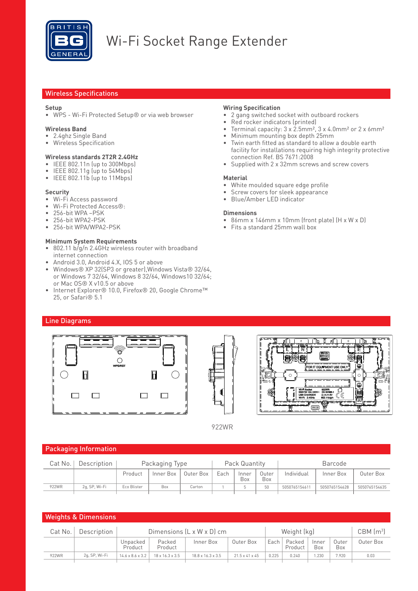

# Wi-Fi Socket Range Extender

## Wireless Specifications

## **Setup**

• WPS - Wi-Fi Protected Setup® or via web browser

#### **Wireless Band**

- 2.4ghz Single Band
- Wireless Specification

## **Wireless standards 2T2R 2.4GHz**

- IEEE 802.11n (up to 300Mbps)
- IEEE 802.11g (up to 54Mbps)
- IEEE 802.11b (up to 11Mbps)

#### **Security**

- Wi-Fi Access password
- Wi-Fi Protected Access®:
- 256-bit WPA –PSK
- 256-bit WPA2-PSK
- 256-bit WPA/WPA2-PSK

## **Minimum System Requirements**

- 802.11 b/g/n 2.4GHz wireless router with broadband internet connection
- Android 3.0, Android 4.X, IOS 5 or above
- Windows® XP 32(SP3 or greater),Windows Vista® 32/64, or Windows 7 32/64, Windows 8 32/64, Windows10 32/64; or Mac OS® X v10.5 or above
- Internet Explorer® 10.0, Firefox® 20, Google Chrome™ 25, or Safari® 5.1

## **Wiring Specification**

- 2 gang switched socket with outboard rockers
- Red rocker indicators (printed)
- Terminal capacity: 3 x 2.5mm<sup>2</sup>, 3 x 4.0mm<sup>2</sup> or 2 x 6mm<sup>2</sup>
- Minimum mounting box depth 25mm
- Twin earth fitted as standard to allow a double earth facility for installations requiring high integrity protective connection Ref. BS 7671:2008
- Supplied with 2 x 32mm screws and screw covers

## **Material**

- White moulded square edge profile
- Screw covers for sleek appearance
- Blue/Amber LED indicator

#### **Dimensions**

- 86mm x 146mm x 10mm (front plate) (H x W x D)
- Fits a standard 25mm wall box

## Line Diagrams







922WR

## Packaging Information

| Cat No. | Description   | Packaging Type |           |           | Pack Quantity |              |              | Barcode       |               |               |
|---------|---------------|----------------|-----------|-----------|---------------|--------------|--------------|---------------|---------------|---------------|
|         |               | Product        | Inner Box | Outer Box | Each          | Inner<br>Box | Outer<br>Box | Individual    | Inner Box     | Outer Box     |
| 922WR   | 2a. SP. Wi-Fi | Eco Blister    | Box       | Carton    |               |              | 50           | 5050765154611 | 5050765154628 | 5050765154635 |

| <b>Weights &amp; Dimensions</b>                                                |               |                              |                             |                               |                            |       |                   |              |              |           |
|--------------------------------------------------------------------------------|---------------|------------------------------|-----------------------------|-------------------------------|----------------------------|-------|-------------------|--------------|--------------|-----------|
| Dimensions $(L \times W \times D)$ cm<br>Weight (kg)<br>Description<br>Cat No. |               |                              |                             |                               |                            |       | $CBM$ $(m3)$      |              |              |           |
|                                                                                |               | Unpacked<br>Product          | Packed<br>Product           | Inner Box                     | Outer Box                  | Each  | Packed<br>Product | Inner<br>Box | Outer<br>Box | Outer Box |
| 922WR                                                                          | 2q, SP, Wi-Fi | $14.6 \times 8.6 \times 3.2$ | $18 \times 16.3 \times 3.5$ | $18.8 \times 16.3 \times 3.5$ | $21.5 \times 41 \times 45$ | 0.225 | 0.240             | .230         | 7.920        | 0.03      |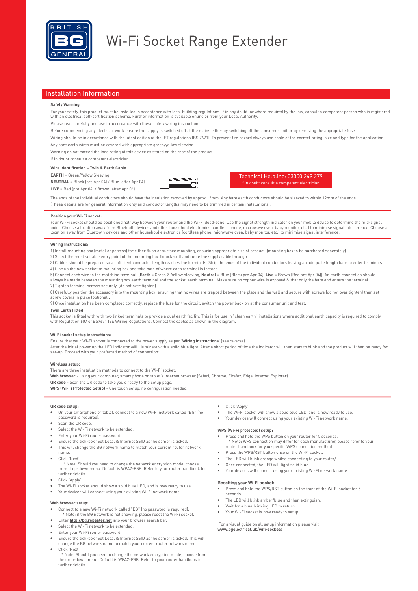

## Wi-Fi Socket Range Extender

#### Installation Information

#### **Safety Warning**

For your safety, this product must be installed in accordance with local building regulations. If in any doubt, or where required by the law, consult a competent person who is registered with an electrical self-certification scheme. Further information is available online or from your Local Authority.

Please read carefully and use in accordance with these safety wiring instructions.

Before commencing any electrical work ensure the supply is switched off at the mains either by switching off the consumer unit or by removing the appropriate fuse.

Wiring should be in accordance with the latest edition of the IET regulations (BS 7671). To prevent fire hazard always use cable of the correct rating, size and type for the application. Any bare earth wires must be covered with appropriate green/yellow sleeving.

Warning do not exceed the load rating of this device as stated on the rear of the product.

If in doubt consult a competent electrician.

#### **Wire Identification – Twin & Earth Cable**

**EARTH** = Green/Yellow Sleeving

**NEUTRAL** = Black (pre Apr 04) / Blue (after Apr 04) **LIVE** = Red (pre Apr 04) / Brown (after Apr 04)



The ends of the individual conductors should have the insulation removed by approx.12mm. Any bare earth conductors should be sleeved to within 12mm of the ends. (These details are for general information only and conductor lengths may need to be trimmed in certain installations).

#### **Position your Wi-Fi socket:**

Your Wi-Fi socket should be positioned half way between your router and the Wi-Fi dead-zone. Use the signal strength indicator on your mobile device to determine the mid-signal point. Choose a location away from Bluetooth devices and other household electronics (cordless phone, microwave oven, baby monitor, etc.) to minimise signal interference. Choose a location away from Bluetooth devices and other household electronics (cordless phone, microwave oven, baby monitor, etc.) to minimise signal interference.

#### **Wiring Instructions:**

1) Install mounting box (metal or patress) for either flush or surface mounting, ensuring appropriate size of product. (mounting box to be purchased seperately)

2) Select the most suitable entry point of the mounting box (knock-out) and route the supply cable through. 3) Cables should be prepared so a sufficient conductor length reaches the terminals. Strip the ends of the individual conductors leaving an adequate length bare to enter terminals

4) Line up the new socket to mounting box and take note of where each terminal is located. 5) Connect each wire to the matching terminal. (**Earth** = Green & Yellow sleeving, **Neutral** = Blue (Black pre Apr 04), **Live** = Brown (Red pre Apr 04)). An earth connection should always be made between the mounting box earth terminal and the socket earth terminal. Make sure no copper wire is exposed & that only the bare end enters the terminal. 7) Tighten terminal screws securely. (do not over tighten)

8) Carefully position the accessory into the mounting box, ensuring that no wires are trapped between the plate and the wall and secure with screws (do not over tighten) then set screw covers in place (optional).

9) Once installation has been completed correctly, replace the fuse for the circuit, switch the power back on at the consumer unit and test.

#### **Twin Earth Fitted**

This socket is fitted with with two linked terminals to provide a dual earth facility. This is for use in "clean earth" installations where additional earth capacity is required to comply<br>with Regulation 607 of BS7671 IEE

#### **Wi-Fi socket setup instructions:**

Ensure that your Wi-Fi socket is connected to the power supply as per '**Wiring instructions**' (see reverse).

After the initial power up the LED indicator will illuminate with a solid blue light. After a short period of time the indicator will then start to blink and the product will then be ready for set-up. Proceed with your preferred method of connection:

#### **Wireless setup**:

There are three installation methods to connect to the Wi-Fi socket;

**Web browser** - Using your computer, smart phone or tablet's internet browser (Safari, Chrome, Firefox, Edge, Internet Explorer).

**QR code** - Scan the QR code to take you directly to the setup page.

**WPS (Wi-Fi Protected Setup)** - One touch setup, no configuration needed.

#### **QR code setup:**

- On your smartphone or tablet, connect to a new Wi-Fi network called "BG" (no password is required).
- Scan the QR code.
- Select the Wi-Fi network to be extended.
- Enter your Wi-Fi router password.
- Ensure the tick-box "Set Local & Internet SSID as the same" is ticked.
- This will change the BG network name to match your current router network name.
- Click 'Next
- \* Note: Should you need to change the network encryption mode, choose from drop-down menu. Default is WPA2-PSK. Refer to your router handbook for further details.
- Click 'Apply'.
- The Wi-Fi socket should show a solid blue LED, and is now ready to use.
- Your devices will connect using your existing Wi-Fi network name.

#### **Web browser setup:**

further details.

- Connect to a new Wi-Fi network called "BG" (no password is required). \* Note: if the BG network is not showing, please reset the Wi-Fi socket.
- Enter **http://bg.repeater.net** into your browser search bar.
- Select the Wi-Fi network to be extended.
- Enter your Wi-Fi router password.
- Ensure the tick-box "Set Local & Internet SSID as the same" is ticked. This will change the BG network name to match your current router network name.
- Click 'Next'. \* Note: Should you need to change the network encryption mode, choose from the drop-down menu. Default is WPA2-PSK. Refer to your router handbook for
- Click 'Apply'.
- The Wi-Fi socket will show a solid blue LED, and is now ready to use.
- Your devices will connect using your existing Wi-Fi network name.

#### **WPS (Wi-Fi protected) setup:**

• Press and hold the WPS button on your router for 5 seconds.

- \* Note: WPS connection may differ for each manufacturer, please refer to your router handbook for you specific WPS connection method.
- Press the WPS/RST button once on the Wi-Fi socket
- The LED will blink orange whilse connecting to your router/
- Once connected, the LED will light solid blue.
- Your devices will connect using your existing Wi-FI network name.

#### Resetting your Wi-Fi socket:

- Press and hold the WPS/RST button on the front of the Wi-Fi socket for 5 seconds
- The LED will blink amber/blue and then extinguish
- Wait for a blue blinking LED to return
- Your Wi-Fi socket is now ready to setup

 For a visual guide on all setup information please visit **www.bgelectrical.uk/wifi-sockets**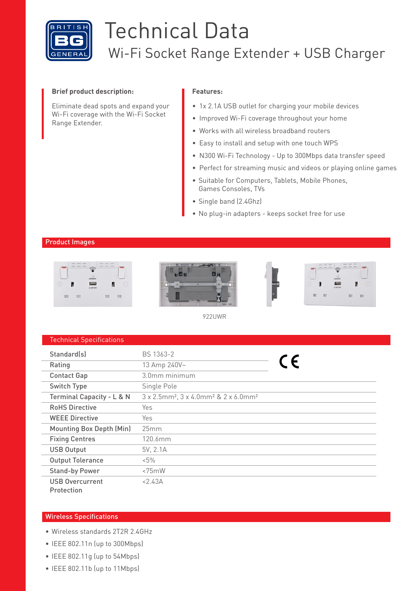

# Technical Data Wi-Fi Socket Range Extender + USB Charger

## **Brief product description:**

Eliminate dead spots and expand your Wi-Fi coverage with the Wi-Fi Socket Range Extender.

## **Features:**

- 1x 2.1A USB outlet for charging your mobile devices
- Improved Wi-Fi coverage throughout your home
- Works with all wireless broadband routers
- Easy to install and setup with one touch WPS
- N300 Wi-Fi Technology Up to 300Mbps data transfer speed
- Perfect for streaming music and videos or playing online games
- Suitable for Computers, Tablets, Mobile Phones, Games Consoles, TVs
- Single band (2.4Ghz)
- No plug-in adapters keeps socket free for use

## Product Images



922UWR

| <b>Technical Specifications</b> |
|---------------------------------|
|---------------------------------|

| Standard(s)                          | BS 1363-2                                                                |     |
|--------------------------------------|--------------------------------------------------------------------------|-----|
| Rating                               | 13 Amp 240V~                                                             | C E |
| <b>Contact Gap</b>                   | 3.0mm minimum                                                            |     |
| Switch Type                          | Single Pole                                                              |     |
| Terminal Capacity - L & N            | 3 x 2.5mm <sup>2</sup> , 3 x 4.0mm <sup>2</sup> & 2 x 6.0mm <sup>2</sup> |     |
| <b>RoHS Directive</b>                | Yes                                                                      |     |
| <b>WEEE Directive</b>                | Yes                                                                      |     |
| <b>Mounting Box Depth (Min)</b>      | 25mm                                                                     |     |
| <b>Fixing Centres</b>                | $120.6$ mm                                                               |     |
| <b>USB Output</b>                    | 5V, 2.1A                                                                 |     |
| <b>Output Tolerance</b>              | $5\%$                                                                    |     |
| <b>Stand-by Power</b>                | $< 75$ mW                                                                |     |
| <b>USB Overcurrent</b><br>Protection | < 2.43A                                                                  |     |

## Wireless Specifications

- Wireless standards 2T2R 2.4GHz
- IEEE 802.11n (up to 300Mbps)
- IEEE 802.11g (up to 54Mbps)
- IEEE 802.11b (up to 11Mbps)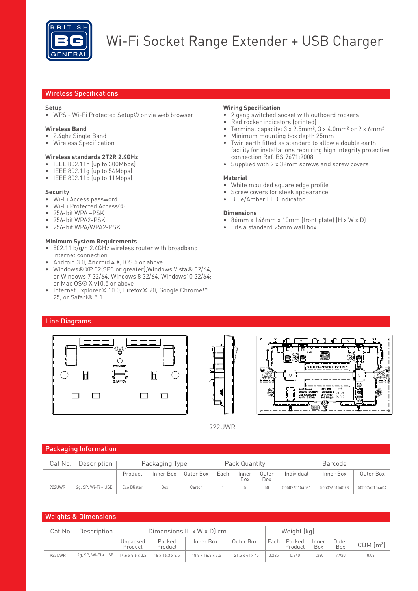

# Wi-Fi Socket Range Extender + USB Charger

## Wireless Specifications

## **Setup**

• WPS - Wi-Fi Protected Setup® or via web browser

## **Wireless Band**

- 2.4ghz Single Band
- Wireless Specification

## **Wireless standards 2T2R 2.4GHz**

- IEEE 802.11n (up to 300Mbps)
- IEEE 802.11g (up to 54Mbps)
- IEEE 802.11b (up to 11Mbps)

## **Security**

- Wi-Fi Access password
- Wi-Fi Protected Access®:
- 256-bit WPA –PSK
- 256-bit WPA2-PSK
- 256-bit WPA/WPA2-PSK

## **Minimum System Requirements**

- 802.11 b/g/n 2.4GHz wireless router with broadband internet connection
- Android 3.0, Android 4.X, IOS 5 or above
- Windows® XP 32(SP3 or greater),Windows Vista® 32/64, or Windows 7 32/64, Windows 8 32/64, Windows10 32/64; or Mac OS® X v10.5 or above
- Internet Explorer® 10.0, Firefox® 20, Google Chrome™ 25, or Safari® 5.1

## **Wiring Specification**

- 2 gang switched socket with outboard rockers
- Red rocker indicators (printed)
- Terminal capacity:  $3 \times 2.5$ mm<sup>2</sup>,  $3 \times 4.0$ mm<sup>2</sup> or  $2 \times 6$ mm<sup>2</sup>
- Minimum mounting box depth 25mm
- Twin earth fitted as standard to allow a double earth facility for installations requiring high integrity protective connection Ref. BS 7671:2008
- Supplied with 2 x 32mm screws and screw covers

## **Material**

- White moulded square edge profile
- Screw covers for sleek appearance
- Blue/Amber LED indicator

#### **Dimensions**

- 86mm x 146mm x 10mm (front plate) (H x W x D)
- Fits a standard 25mm wall box

## Line Diagrams







922UWR

## Packaging Information

| Cat No. | Description         | Packaging Type |           |           | Pack Quantity |              |              | Barcode       |               |               |
|---------|---------------------|----------------|-----------|-----------|---------------|--------------|--------------|---------------|---------------|---------------|
|         |                     | Product        | Inner Box | Outer Box | Each          | Inner<br>Box | Outer<br>Box | Individual    | Inner Box     | Outer Box     |
| 922UWR  | 2q, SP, Wi-Fi + USB | Eco Blister    | Box       | Carton    |               |              | 50           | 5050765154581 | 5050765154598 | 5050765154604 |
|         |                     |                |           |           |               |              |              |               |               |               |

| <b>Weights &amp; Dimensions</b>                                                |                     |                              |                             |                               |                            |       |                   |              |              |              |
|--------------------------------------------------------------------------------|---------------------|------------------------------|-----------------------------|-------------------------------|----------------------------|-------|-------------------|--------------|--------------|--------------|
| Dimensions $(L \times W \times D)$ cm<br>Description<br>Weight (kg)<br>Cat No. |                     |                              |                             |                               |                            |       |                   |              |              |              |
|                                                                                |                     | Unpacked<br>Product          | Packed<br>Product           | Inner Box                     | Outer Box                  | Each  | Packed<br>Product | Inner<br>Box | Outer<br>Box | $CBM$ $(m3)$ |
| 922UWR                                                                         | 2q, SP, Wi-Fi + USB | $14.6 \times 8.6 \times 3.2$ | $18 \times 16.3 \times 3.5$ | $18.8 \times 16.3 \times 3.5$ | $21.5 \times 41 \times 45$ | 0.225 | 0.240             | .230         | 7.920        | 0.03         |